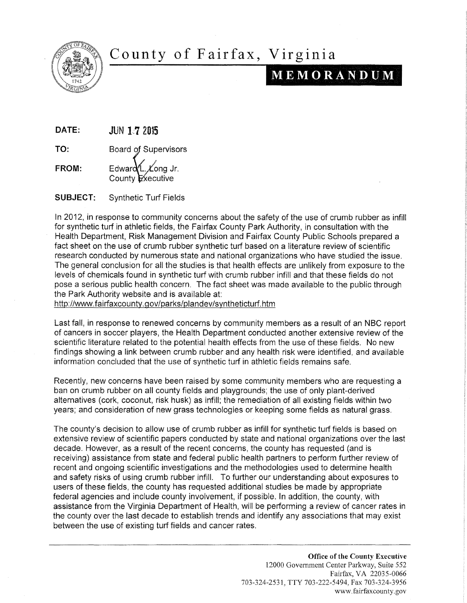

## County of Fairfax, Virginia

## $M E M O R A N D U M$

DATE: **JUN 1.7 2015** 

TO: Board of Supervisors

FROM: Edward  $\Delta L$   $\angle$  Equal Equal Equation Equation Equation Equation Section 1. County  $\mathsf{E}\times$ ecutive

SUBJECT: Synthetic Turf Fields

In 2012, in response to community concerns about the safety of the use of crumb rubber as infill for synthetic turf in athletic fields, the Fairfax County Park Authority, in consultation with the Health Department, Risk Management Division and Fairfax County Public Schools prepared a fact sheet on the use of crumb rubber synthetic turf based on a literature review of scientific research conducted by numerous state and national organizations who have studied the issue. The general conclusion for all the studies is that health effects are unlikely from exposure to the levels of chemicals found in synthetic turf with crumb rubber infill and that these fields do not pose a serious public health concern. The fact sheet was made available to the public through the Park Authority website and is available at:

http://www.fairfaxcounty.gov/parks/plandev/syntheticturf.htm

Last fall, in response to renewed concerns by community members as a result of an NBC report of cancers in soccer players, the Health Department conducted another extensive review of the scientific literature related to the potential health effects from the use of these fields. No new findings showing a link between crumb rubber and any health risk were identified, and available information concluded that the use of synthetic turf in athletic fields remains safe.

Recently, new concerns have been raised by some community members who are requesting a ban on crumb rubber on all county fields and playgrounds; the use of only plant-derived alternatives (cork, coconut, risk husk) as infill; the remediation of all existing fields within two years; and consideration of new grass technologies or keeping some fields as natural grass.

The county's decision to allow use of crumb rubber as infill for synthetic turf fields is based on extensive review of scientific papers conducted by state and national organizations over the last decade. However, as a result of the recent concerns, the county has requested (and is receiving) assistance from state and federal public health partners to perform further review of recent and ongoing scientific investigations and the methodologies used to determine health and safety risks of using crumb rubber infill. To further our understanding about exposures to users of these fields, the county has requested additional studies be made by appropriate federal agencies and include county involvement, if possible. In addition, the county, with assistance from the Virginia Department of Health, will be performing a review of cancer rates in the county over the last decade to establish trends and identify any associations that may exist between the use of existing turf fields and cancer rates.

> Office of the County Executive 12000 Government Center Parkway, Suite 552 Fairfax, VA 22035-0066 703-324-2531, TTY 703-222-5494, Fax 703-324-3956 www.fairfaxcounty.gov